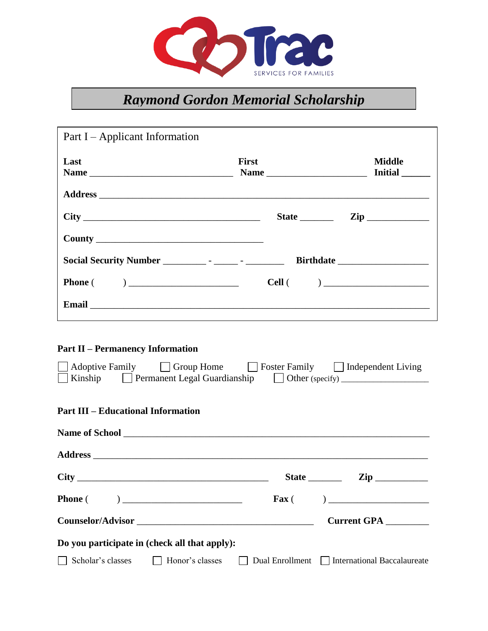

## *Raymond Gordon Memorial Scholarship*

| Last                                                                                                                 | First                                                                                                                                                                                                                                                                                                                                                                                                                                                                   | <b>Middle</b>                                                                                                                                                                                                                                                                                                                                                                               |
|----------------------------------------------------------------------------------------------------------------------|-------------------------------------------------------------------------------------------------------------------------------------------------------------------------------------------------------------------------------------------------------------------------------------------------------------------------------------------------------------------------------------------------------------------------------------------------------------------------|---------------------------------------------------------------------------------------------------------------------------------------------------------------------------------------------------------------------------------------------------------------------------------------------------------------------------------------------------------------------------------------------|
|                                                                                                                      |                                                                                                                                                                                                                                                                                                                                                                                                                                                                         |                                                                                                                                                                                                                                                                                                                                                                                             |
|                                                                                                                      |                                                                                                                                                                                                                                                                                                                                                                                                                                                                         |                                                                                                                                                                                                                                                                                                                                                                                             |
|                                                                                                                      |                                                                                                                                                                                                                                                                                                                                                                                                                                                                         |                                                                                                                                                                                                                                                                                                                                                                                             |
|                                                                                                                      |                                                                                                                                                                                                                                                                                                                                                                                                                                                                         |                                                                                                                                                                                                                                                                                                                                                                                             |
|                                                                                                                      |                                                                                                                                                                                                                                                                                                                                                                                                                                                                         |                                                                                                                                                                                                                                                                                                                                                                                             |
|                                                                                                                      |                                                                                                                                                                                                                                                                                                                                                                                                                                                                         |                                                                                                                                                                                                                                                                                                                                                                                             |
|                                                                                                                      |                                                                                                                                                                                                                                                                                                                                                                                                                                                                         |                                                                                                                                                                                                                                                                                                                                                                                             |
|                                                                                                                      | △ Adoptive Family △ Croup Home △ Foster Family △ Independent Living                                                                                                                                                                                                                                                                                                                                                                                                     |                                                                                                                                                                                                                                                                                                                                                                                             |
|                                                                                                                      | □ Kinship □ Permanent Legal Guardianship □ Other (specify) ____________________                                                                                                                                                                                                                                                                                                                                                                                         |                                                                                                                                                                                                                                                                                                                                                                                             |
|                                                                                                                      | Name of School experience and the second second second second second second second second second second second second second second second second second second second second second second second second second second second                                                                                                                                                                                                                                          |                                                                                                                                                                                                                                                                                                                                                                                             |
|                                                                                                                      |                                                                                                                                                                                                                                                                                                                                                                                                                                                                         |                                                                                                                                                                                                                                                                                                                                                                                             |
|                                                                                                                      | $\overline{\phantom{a}}$ State $\overline{\phantom{a}}$ $\overline{\phantom{a}}$ $\overline{\phantom{a}}$ $\overline{\phantom{a}}$ $\overline{\phantom{a}}$ $\overline{\phantom{a}}$ $\overline{\phantom{a}}$ $\overline{\phantom{a}}$ $\overline{\phantom{a}}$ $\overline{\phantom{a}}$ $\overline{\phantom{a}}$ $\overline{\phantom{a}}$ $\overline{\phantom{a}}$ $\overline{\phantom{a}}$ $\overline{\phantom{a}}$ $\overline{\phantom{a}}$ $\overline{\phantom{a}}$ |                                                                                                                                                                                                                                                                                                                                                                                             |
|                                                                                                                      | $\mathbf{F}$ ax (<br>$\begin{tabular}{ c c c c } \hline \quad \quad & \quad \quad & \quad \quad & \quad \quad \\ \hline \end{tabular}$                                                                                                                                                                                                                                                                                                                                  | $\begin{picture}(20,10) \put(0,0){\dashbox{0.5}(10,0){ }} \put(15,0){\circle{10}} \put(15,0){\circle{10}} \put(15,0){\circle{10}} \put(15,0){\circle{10}} \put(15,0){\circle{10}} \put(15,0){\circle{10}} \put(15,0){\circle{10}} \put(15,0){\circle{10}} \put(15,0){\circle{10}} \put(15,0){\circle{10}} \put(15,0){\circle{10}} \put(15,0){\circle{10}} \put(15,0){\circle{10}} \put(15,$ |
|                                                                                                                      |                                                                                                                                                                                                                                                                                                                                                                                                                                                                         | Current GPA                                                                                                                                                                                                                                                                                                                                                                                 |
| <b>Part III - Educational Information</b><br>City<br><b>Phone</b> (<br>Do you participate in (check all that apply): |                                                                                                                                                                                                                                                                                                                                                                                                                                                                         |                                                                                                                                                                                                                                                                                                                                                                                             |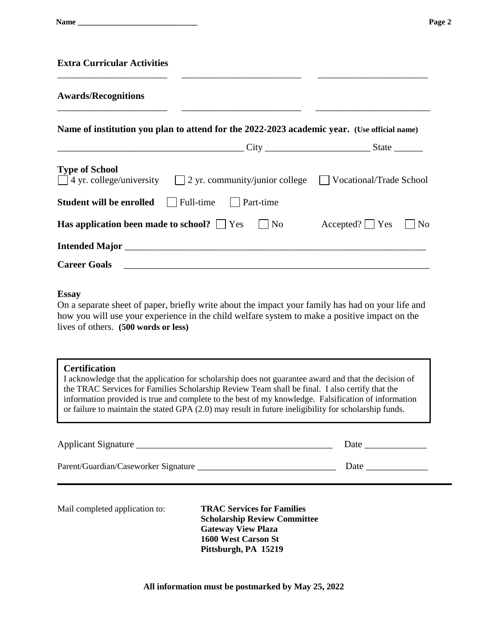#### **Extra Curricular Activities**

#### **Awards/Recognitions**

| <b>Type of School</b><br>$\Box$ 4 yr. college/university $\Box$ 2 yr. community/junior college $\Box$ Vocational/Trade School |  |  |
|-------------------------------------------------------------------------------------------------------------------------------|--|--|
| <b>Student will be enrolled</b>   Full-time   Part-time                                                                       |  |  |
| <b>Has application been made to school?</b> $\Box$ Yes $\Box$ No Accepted? $\Box$ Yes $\Box$ No                               |  |  |
|                                                                                                                               |  |  |
| <b>Career Goals</b>                                                                                                           |  |  |

\_\_\_\_\_\_\_\_\_\_\_\_\_\_\_\_\_\_\_\_\_\_\_ \_\_\_\_\_\_\_\_\_\_\_\_\_\_\_\_\_\_\_\_\_\_\_\_\_ \_\_\_\_\_\_\_\_\_\_\_\_\_\_\_\_\_\_\_\_\_\_\_

\_\_\_\_\_\_\_\_\_\_\_\_\_\_\_\_\_\_\_\_\_\_\_ \_\_\_\_\_\_\_\_\_\_\_\_\_\_\_\_\_\_\_\_\_\_\_\_\_ \_\_\_\_\_\_\_\_\_\_\_\_\_\_\_\_\_\_\_\_\_\_\_\_

#### **Essay**

On a separate sheet of paper, briefly write about the impact your family has had on your life and how you will use your experience in the child welfare system to make a positive impact on the lives of others. **(500 words or less)**

#### **Certification**

I acknowledge that the application for scholarship does not guarantee award and that the decision of the TRAC Services for Families Scholarship Review Team shall be final. I also certify that the information provided is true and complete to the best of my knowledge. Falsification of information or failure to maintain the stated GPA (2.0) may result in future ineligibility for scholarship funds.

| Applicant Signature                  | Date |
|--------------------------------------|------|
| Parent/Guardian/Caseworker Signature | Date |

Mail completed application to: **TRAC Services for Families**

**Scholarship Review Committee Gateway View Plaza 1600 West Carson St Pittsburgh, PA 15219**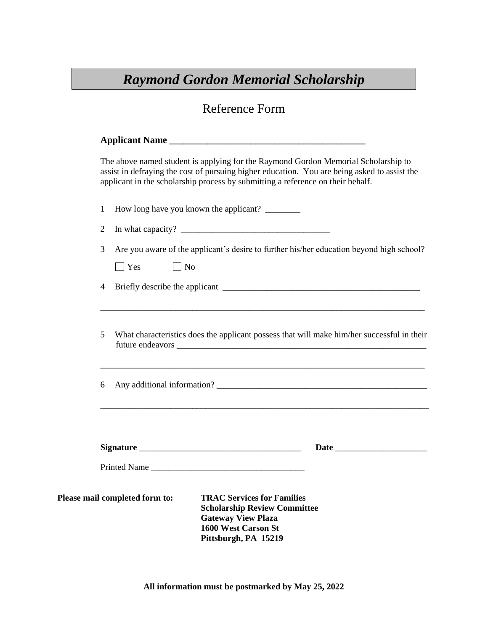# *Raymond Gordon Memorial Scholarship*

### Reference Form

|              | The above named student is applying for the Raymond Gordon Memorial Scholarship to<br>assist in defraying the cost of pursuing higher education. You are being asked to assist the<br>applicant in the scholarship process by submitting a reference on their behalf. |
|--------------|-----------------------------------------------------------------------------------------------------------------------------------------------------------------------------------------------------------------------------------------------------------------------|
| $\mathbf{1}$ | How long have you known the applicant? ________                                                                                                                                                                                                                       |
| 2            |                                                                                                                                                                                                                                                                       |
| 3            | Are you aware of the applicant's desire to further his/her education beyond high school?<br>$\blacksquare$ Yes<br>$\Box$ No                                                                                                                                           |
| 4            |                                                                                                                                                                                                                                                                       |
| 5            | What characteristics does the applicant possess that will make him/her successful in their                                                                                                                                                                            |
| 6            |                                                                                                                                                                                                                                                                       |
|              | Printed Name                                                                                                                                                                                                                                                          |
|              | Please mail completed form to:<br><b>TRAC Services for Families</b><br><b>Scholarship Review Committee</b><br><b>Gateway View Plaza</b><br>1600 West Carson St<br>Pittsburgh, PA 15219                                                                                |